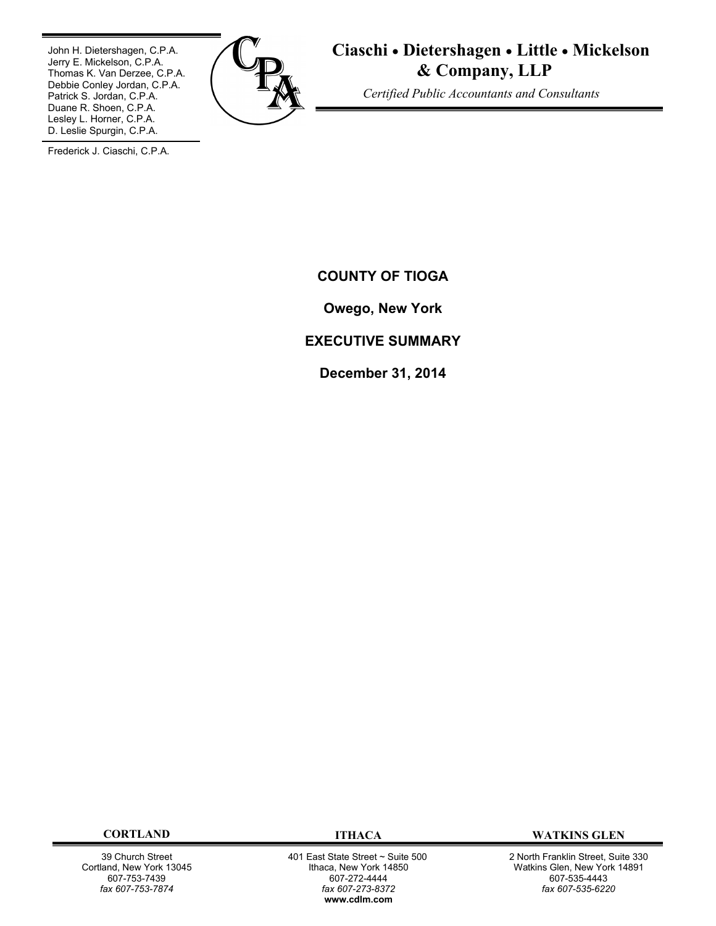John H. Dietershagen, C.P.A. Jerry E. Mickelson, C.P.A. Thomas K. Van Derzee, C.P.A. Debbie Conley Jordan, C.P.A. Patrick S. Jordan, C.P.A. Duane R. Shoen, C.P.A. Lesley L. Horner, C.P.A. D. Leslie Spurgin, C.P.A.



**Ciaschi Dietershagen Little Mickelson & Company, LLP**

 *Certified Public Accountants and Consultants*

Frederick J. Ciaschi, C.P.A.

**COUNTY OF TIOGA**

**Owego, New York**

# **EXECUTIVE SUMMARY**

**December 31, 2014**

39 Church Street Cortland, New York 13045 607-753-7439 *fax 607-753-7874*

 401 East State Street ~ Suite 500 Ithaca, New York 14850 607-272-4444 *fax 607-273-8372* **www.cdlm.com**

**CORTLAND ITHACA WATKINS GLEN**

2 North Franklin Street, Suite 330 Watkins Glen, New York 14891 607-535-4443 *fax 607-535-6220*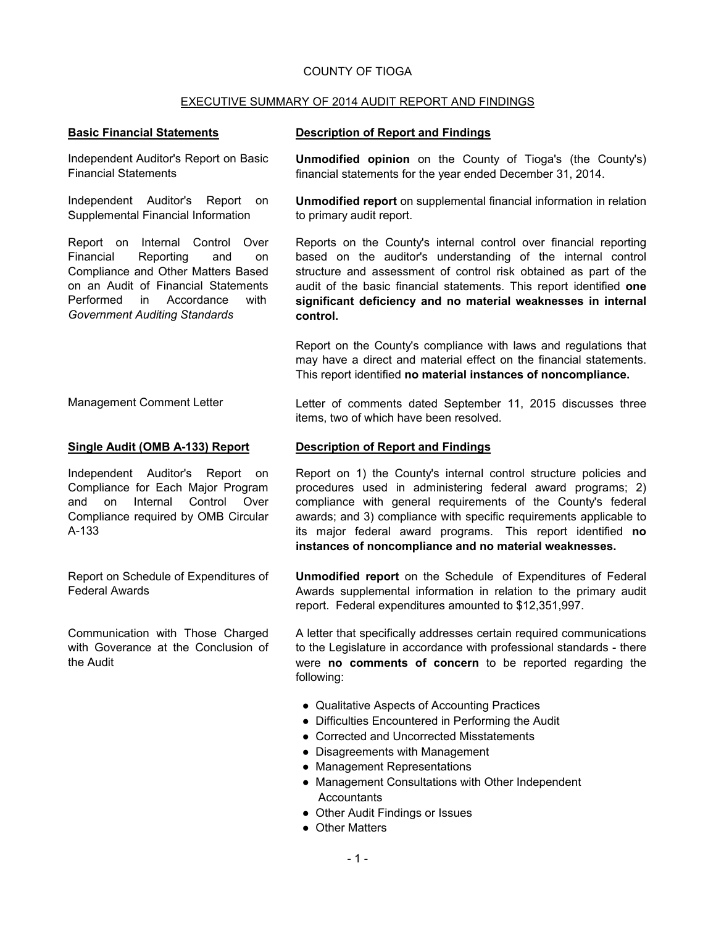## COUNTY OF TIOGA

## EXECUTIVE SUMMARY OF 2014 AUDIT REPORT AND FINDINGS

Independent Auditor's Report on Basic Financial Statements

Independent Auditor's Report on Supplemental Financial Information

Report on Internal Control Over Financial Reporting and on Compliance and Other Matters Based on an Audit of Financial Statements Performed in Accordance with *Government Auditing Standards*

### **Basic Financial Statements Description of Report and Findings**

**Unmodified opinion** on the County of Tioga's (the County's) financial statements for the year ended December 31, 2014.

**Unmodified report** on supplemental financial information in relation to primary audit report.

Reports on the County's internal control over financial reporting based on the auditor's understanding of the internal control structure and assessment of control risk obtained as part of the audit of the basic financial statements. This report identified **one significant deficiency and no material weaknesses in internal control.**

Report on the County's compliance with laws and regulations that may have a direct and material effect on the financial statements. This report identified **no material instances of noncompliance.**

Management Comment Letter Letter Letter of comments dated September 11, 2015 discusses three

Independent Auditor's Report on Compliance for Each Major Program and on Internal Control Over Compliance required by OMB Circular A-133

Report on Schedule of Expenditures of Federal Awards

Communication with Those Charged with Goverance at the Conclusion of the Audit

#### **Single Audit (OMB A-133) Report Description of Report and Findings**

items, two of which have been resolved.

Report on 1) the County's internal control structure policies and procedures used in administering federal award programs; 2) compliance with general requirements of the County's federal awards; and 3) compliance with specific requirements applicable to its major federal award programs. This report identified **no instances of noncompliance and no material weaknesses.**

**Unmodified report** on the Schedule of Expenditures of Federal Awards supplemental information in relation to the primary audit report. Federal expenditures amounted to \$12,351,997.

A letter that specifically addresses certain required communications to the Legislature in accordance with professional standards - there were **no comments of concern** to be reported regarding the following:

- Qualitative Aspects of Accounting Practices
- Difficulties Encountered in Performing the Audit
- Corrected and Uncorrected Misstatements
- Disagreements with Management
- Management Representations
- Management Consultations with Other Independent **Accountants**
- Other Audit Findings or Issues
- Other Matters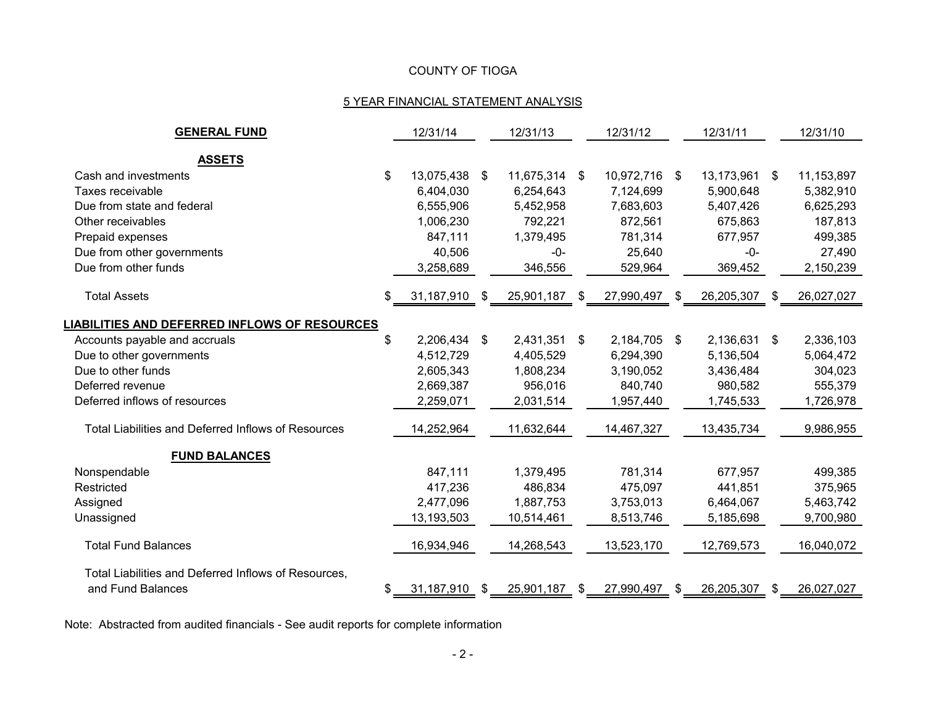# COUNTY OF TIOGA

# 5 YEAR FINANCIAL STATEMENT ANALYSIS

| <b>GENERAL FUND</b>                                        | 12/31/14         |      | 12/31/13   | 12/31/12         |               | 12/31/11   |      | 12/31/10   |
|------------------------------------------------------------|------------------|------|------------|------------------|---------------|------------|------|------------|
|                                                            |                  |      |            |                  |               |            |      |            |
| <b>ASSETS</b><br>Cash and investments                      | \$<br>13,075,438 | S.   | 11,675,314 | \$<br>10,972,716 | \$            | 13,173,961 | \$   | 11,153,897 |
| Taxes receivable                                           | 6,404,030        |      | 6,254,643  | 7,124,699        |               | 5,900,648  |      | 5,382,910  |
| Due from state and federal                                 | 6,555,906        |      | 5,452,958  | 7,683,603        |               | 5,407,426  |      | 6,625,293  |
| Other receivables                                          | 1,006,230        |      | 792,221    | 872,561          |               | 675,863    |      | 187,813    |
| Prepaid expenses                                           | 847,111          |      | 1,379,495  | 781,314          |               | 677,957    |      | 499,385    |
|                                                            |                  |      |            |                  |               | $-0-$      |      |            |
| Due from other governments                                 | 40,506           |      | -0-        | 25,640           |               |            |      | 27,490     |
| Due from other funds                                       | 3,258,689        |      | 346,556    | 529,964          |               | 369,452    |      | 2,150,239  |
| <b>Total Assets</b>                                        | 31,187,910       | - \$ | 25,901,187 | \$<br>27,990,497 | S.            | 26,205,307 | - SS | 26,027,027 |
| <b>LIABILITIES AND DEFERRED INFLOWS OF RESOURCES</b>       |                  |      |            |                  |               |            |      |            |
| Accounts payable and accruals                              | \$<br>2,206,434  | \$   | 2,431,351  | \$<br>2,184,705  | $\sqrt[6]{2}$ | 2,136,631  | \$   | 2,336,103  |
| Due to other governments                                   | 4,512,729        |      | 4,405,529  | 6,294,390        |               | 5,136,504  |      | 5,064,472  |
| Due to other funds                                         | 2,605,343        |      | 1,808,234  | 3,190,052        |               | 3,436,484  |      | 304,023    |
| Deferred revenue                                           | 2,669,387        |      | 956,016    | 840,740          |               | 980,582    |      | 555,379    |
| Deferred inflows of resources                              | 2,259,071        |      | 2,031,514  | 1,957,440        |               | 1,745,533  |      | 1,726,978  |
| <b>Total Liabilities and Deferred Inflows of Resources</b> | 14,252,964       |      | 11,632,644 | 14,467,327       |               | 13,435,734 |      | 9,986,955  |
| <b>FUND BALANCES</b>                                       |                  |      |            |                  |               |            |      |            |
| Nonspendable                                               | 847,111          |      | 1,379,495  | 781,314          |               | 677,957    |      | 499,385    |
| Restricted                                                 | 417,236          |      | 486,834    | 475,097          |               | 441,851    |      | 375,965    |
| Assigned                                                   | 2,477,096        |      | 1,887,753  | 3,753,013        |               | 6,464,067  |      | 5,463,742  |
| Unassigned                                                 | 13,193,503       |      | 10,514,461 | 8,513,746        |               | 5,185,698  |      | 9,700,980  |
| <b>Total Fund Balances</b>                                 | 16,934,946       |      | 14,268,543 | 13,523,170       |               | 12,769,573 |      | 16,040,072 |
| Total Liabilities and Deferred Inflows of Resources,       |                  |      |            |                  |               |            |      |            |
| and Fund Balances                                          | \$<br>31,187,910 | \$   | 25,901,187 | \$<br>27,990,497 | \$            | 26,205,307 | \$   | 26,027,027 |

Note: Abstracted from audited financials - See audit reports for complete information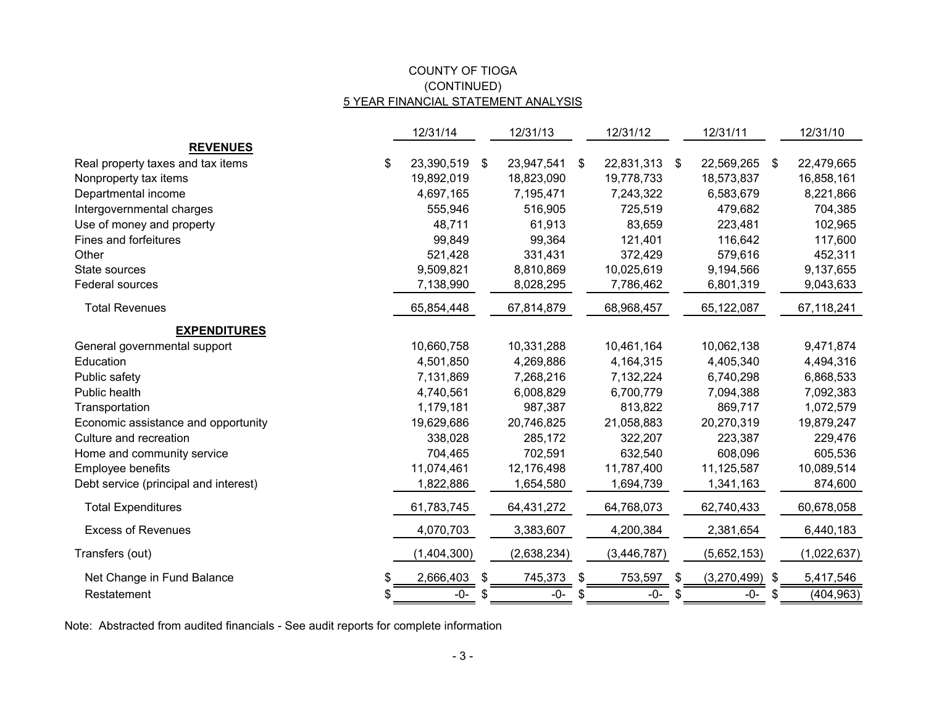## COUNTY OF TIOGA 5 YEAR FINANCIAL STATEMENT ANALYSIS (CONTINUED)

|                                       |    | 12/31/14    | 12/31/13         |    | 12/31/12      |    | 12/31/11      |    | 12/31/10    |
|---------------------------------------|----|-------------|------------------|----|---------------|----|---------------|----|-------------|
| <b>REVENUES</b>                       |    |             |                  |    |               |    |               |    |             |
| Real property taxes and tax items     | \$ | 23,390,519  | \$<br>23,947,541 | \$ | 22,831,313    | \$ | 22,569,265 \$ |    | 22,479,665  |
| Nonproperty tax items                 |    | 19,892,019  | 18,823,090       |    | 19,778,733    |    | 18,573,837    |    | 16,858,161  |
| Departmental income                   |    | 4,697,165   | 7,195,471        |    | 7,243,322     |    | 6,583,679     |    | 8,221,866   |
| Intergovernmental charges             |    | 555,946     | 516,905          |    | 725,519       |    | 479,682       |    | 704,385     |
| Use of money and property             |    | 48,711      | 61,913           |    | 83,659        |    | 223,481       |    | 102,965     |
| Fines and forfeitures                 |    | 99,849      | 99,364           |    | 121,401       |    | 116,642       |    | 117,600     |
| Other                                 |    | 521,428     | 331,431          |    | 372,429       |    | 579,616       |    | 452,311     |
| State sources                         |    | 9,509,821   | 8,810,869        |    | 10,025,619    |    | 9,194,566     |    | 9,137,655   |
| Federal sources                       |    | 7,138,990   | 8,028,295        |    | 7,786,462     |    | 6,801,319     |    | 9,043,633   |
| <b>Total Revenues</b>                 |    | 65,854,448  | 67,814,879       |    | 68,968,457    |    | 65,122,087    |    | 67,118,241  |
| <b>EXPENDITURES</b>                   |    |             |                  |    |               |    |               |    |             |
| General governmental support          |    | 10,660,758  | 10,331,288       |    | 10,461,164    |    | 10,062,138    |    | 9,471,874   |
| Education                             |    | 4,501,850   | 4,269,886        |    | 4,164,315     |    | 4,405,340     |    | 4,494,316   |
| Public safety                         |    | 7,131,869   | 7,268,216        |    | 7,132,224     |    | 6,740,298     |    | 6,868,533   |
| Public health                         |    | 4,740,561   | 6,008,829        |    | 6,700,779     |    | 7,094,388     |    | 7,092,383   |
| Transportation                        |    | 1,179,181   | 987,387          |    | 813,822       |    | 869,717       |    | 1,072,579   |
| Economic assistance and opportunity   |    | 19,629,686  | 20,746,825       |    | 21,058,883    |    | 20,270,319    |    | 19,879,247  |
| Culture and recreation                |    | 338,028     | 285,172          |    | 322,207       |    | 223,387       |    | 229,476     |
| Home and community service            |    | 704,465     | 702,591          |    | 632,540       |    | 608,096       |    | 605,536     |
| Employee benefits                     |    | 11,074,461  | 12,176,498       |    | 11,787,400    |    | 11,125,587    |    | 10,089,514  |
| Debt service (principal and interest) |    | 1,822,886   | 1,654,580        |    | 1,694,739     |    | 1,341,163     |    | 874,600     |
| <b>Total Expenditures</b>             |    | 61,783,745  | 64,431,272       |    | 64,768,073    |    | 62,740,433    |    | 60,678,058  |
| <b>Excess of Revenues</b>             |    | 4,070,703   | 3,383,607        |    | 4,200,384     |    | 2,381,654     |    | 6,440,183   |
| Transfers (out)                       |    | (1,404,300) | (2,638,234)      |    | (3, 446, 787) |    | (5,652,153)   |    | (1,022,637) |
| Net Change in Fund Balance            | \$ | 2,666,403   | \$<br>745,373    | \$ | 753,597       | \$ | (3,270,499)   | \$ | 5,417,546   |
| Restatement                           | S  | $-0-$       | -0-              | 8  | -0-           | S  | -0-           | S. | (404, 963)  |

Note: Abstracted from audited financials - See audit reports for complete information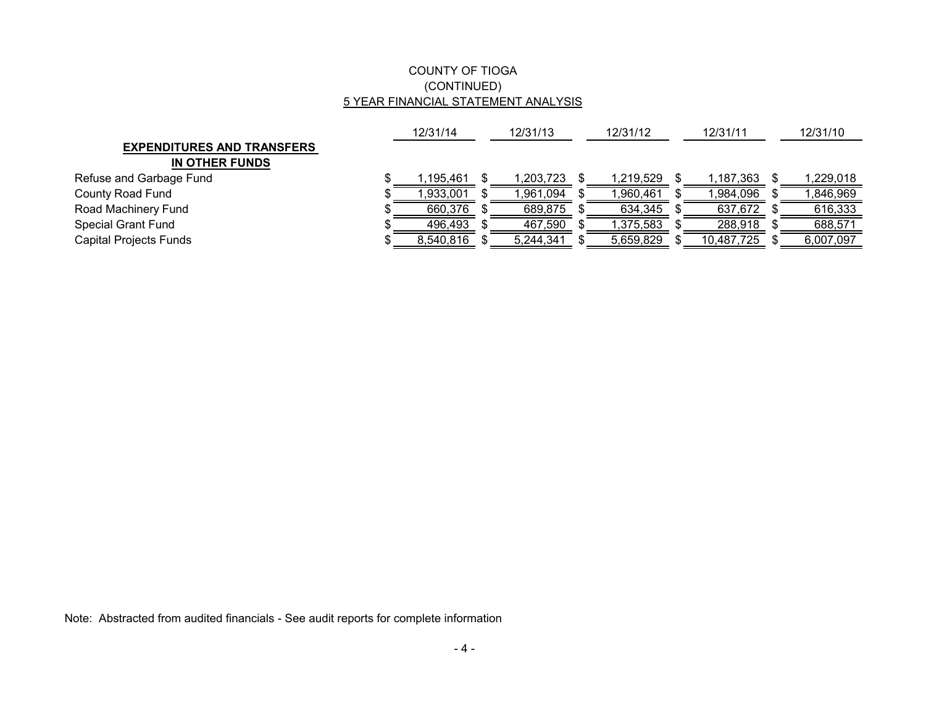## COUNTY OF TIOGA (CONTINUED) 5 YEAR FINANCIAL STATEMENT ANALYSIS

|                                   | 12/31/14  |  | 12/31/13  |  | 12/31/12   |  | 12/31/11   | 12/31/10  |  |
|-----------------------------------|-----------|--|-----------|--|------------|--|------------|-----------|--|
| <b>EXPENDITURES AND TRANSFERS</b> |           |  |           |  |            |  |            |           |  |
| IN OTHER FUNDS                    |           |  |           |  |            |  |            |           |  |
| Refuse and Garbage Fund           | .195.461  |  | ,203,723  |  | 219,529. ا |  | 1,187,363  | ,229,018  |  |
| County Road Fund                  | 1,933,001 |  | ,961,094  |  | ,960,461   |  | 984,096. ا | ,846,969  |  |
| Road Machinery Fund               | 660,376   |  | 689,875   |  | 634,345    |  | 637,672    | 616,333   |  |
| <b>Special Grant Fund</b>         | 496,493   |  | 467,590   |  | 1,375,583  |  | 288,918    | 688,571   |  |
| Capital Projects Funds            | 8,540,816 |  | 5,244,341 |  | 5,659,829  |  | 10,487,725 | 6,007,097 |  |

Note: Abstracted from audited financials - See audit reports for complete information